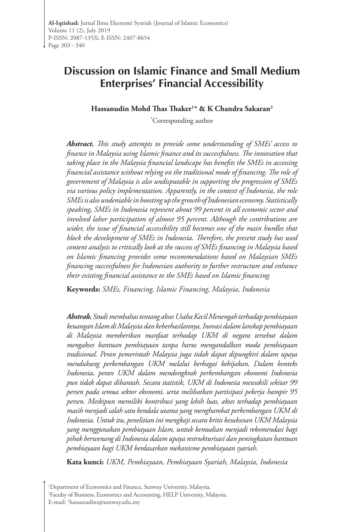# **Discussion on Islamic Finance and Small Medium Enterprises' Financial Accessibility**

**Hassanudin Mohd Thas Thaker<sup>1</sup> \* & K Chandra Sakaran2** 

**\*** Corresponding author

*Abstract. This study attempts to provide some understanding of SMEs' access to finance in Malaysia using Islamic finance and its successfulness. The innovation that taking place in the Malaysia financial landscape has benefits the SMEs in accessing financial assistance without relying on the traditional mode of financing. The role of government of Malaysia is also undisputable in supporting the progression of SMEs via various policy implementation. Apparently, in the context of Indonesia, the role SMEs is also undeniable in boosting up the growth of Indonesian economy. Statistically speaking, SMEs in Indonesia represent about 99 percent in all economic sector and involved labor participation of almost 95 percent. Although the contributions are wider, the issue of financial accessibility still becomes one of the main hurdles that block the development of SMEs in Indonesia. Therefore, the present study has used content analysis to critically look at the success of SMEs financing in Malaysia based on Islamic financing provides some recommendations based on Malaysian SMEs financing successfulness for Indonesian authority to further restructure and enhance their existing financial assistance to the SMEs based on Islamic financing.* 

**Keywords:** *SMEs, Financing, Islamic Financing, Malaysia, Indonesia*

*Abstrak. Studi membahas tentang akses Usaha Kecil Menengah terhadap pembiayaan keuangan Islam di Malaysia dan keberhasilannya. Inovasi dalam lanskap pembiayaan di Malaysia memberikan manfaat terhadap UKM di negara tersebut dalam mengakses bantuan pembiayaan tanpa harus mengandalkan moda pembiayaan tradisional. Peran pemerintah Malaysia juga tidak dapat dipungkiri dalam upaya mendukung perkembangan UKM melalui berbagai kebijakan. Dalam konteks Indonesia, peran UKM dalam mendongkrak perkembangan ekonomi Indonesia pun tidak dapat dibantah. Secara statistik, UKM di Indonesia mewakili sekitar 99 persen pada semua sektor ekonomi, serta melibatkan partisipasi pekerja hampir 95 persen. Meskipun memiliki kontribusi yang lebih luas, akses terhadap pembiayaan masih menjadi salah satu kendala utama yang menghambat perkembangan UKM di Indonesia. Untuk itu, penelitian ini mengkaji secara kritis kesuksesan UKM Malaysia yang menggunakan pembiayaan Islam, untuk kemudian menjadi rekomendasi bagi pihak berwenang di Indonesia dalam upaya restrukturisasi dan peningkatan bantuan pembiayaan bagi UKM berdasarkan mekanisme pembiayaan syariah.* 

**Kata kunci:** *UKM, Pembiayaan, Pembiayaan Syariah, Malaysia, Indonesia*

1 Department of Economics and Finance, Sunway University, Malaysia. 2 Faculty of Business, Economics and Accounting, HELP University, Malaysia. E-mail: 1 hassanudint@sunway.edu.my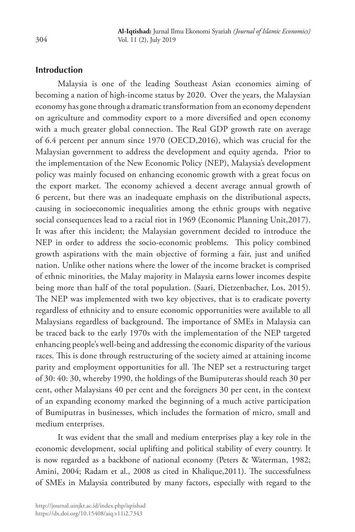### **Introduction**

Malaysia is one of the leading Southeast Asian economies aiming of becoming a nation of high-income status by 2020. Over the years, the Malaysian economy has gone through a dramatic transformation from an economy dependent on agriculture and commodity export to a more diversified and open economy with a much greater global connection. The Real GDP growth rate on average of 6.4 percent per annum since 1970 (OECD,2016), which was crucial for the Malaysian government to address the development and equity agenda. Prior to the implementation of the New Economic Policy (NEP), Malaysia's development policy was mainly focused on enhancing economic growth with a great focus on the export market. The economy achieved a decent average annual growth of 6 percent, but there was an inadequate emphasis on the distributional aspects, causing in socioeconomic inequalities among the ethnic groups with negative social consequences lead to a racial riot in 1969 (Economic Planning Unit,2017). It was after this incident; the Malaysian government decided to introduce the NEP in order to address the socio-economic problems. This policy combined growth aspirations with the main objective of forming a fair, just and unified nation. Unlike other nations where the lower of the income bracket is comprised of ethnic minorities, the Malay majority in Malaysia earns lower incomes despite being more than half of the total population. (Saari, Dietzenbacher, Los, 2015). The NEP was implemented with two key objectives, that is to eradicate poverty regardless of ethnicity and to ensure economic opportunities were available to all Malaysians regardless of background. The importance of SMEs in Malaysia can be traced back to the early 1970s with the implementation of the NEP targeted enhancing people's well-being and addressing the economic disparity of the various races. This is done through restructuring of the society aimed at attaining income parity and employment opportunities for all. The NEP set a restructuring target of 30: 40: 30, whereby 1990, the holdings of the Bumiputeras should reach 30 per cent, other Malaysians 40 per cent and the foreigners 30 per cent, in the context of an expanding economy marked the beginning of a much active participation of Bumiputras in businesses, which includes the formation of micro, small and medium enterprises.

It was evident that the small and medium enterprises play a key role in the economic development, social uplifting and political stability of every country. It is now regarded as a backbone of national economy (Peters & Waterman, 1982; Amini, 2004; Radam et al., 2008 as cited in Khalique,2011). The successfulness of SMEs in Malaysia contributed by many factors, especially with regard to the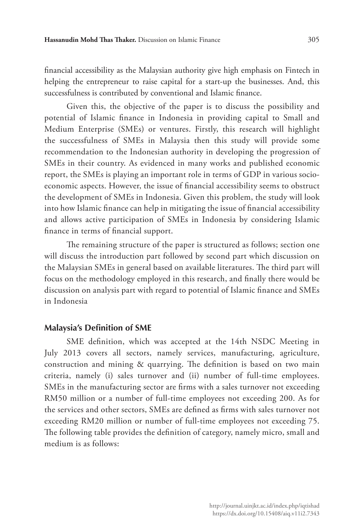financial accessibility as the Malaysian authority give high emphasis on Fintech in helping the entrepreneur to raise capital for a start-up the businesses. And, this successfulness is contributed by conventional and Islamic finance.

Given this, the objective of the paper is to discuss the possibility and potential of Islamic finance in Indonesia in providing capital to Small and Medium Enterprise (SMEs) or ventures. Firstly, this research will highlight the successfulness of SMEs in Malaysia then this study will provide some recommendation to the Indonesian authority in developing the progression of SMEs in their country. As evidenced in many works and published economic report, the SMEs is playing an important role in terms of GDP in various socioeconomic aspects. However, the issue of financial accessibility seems to obstruct the development of SMEs in Indonesia. Given this problem, the study will look into how Islamic finance can help in mitigating the issue of financial accessibility and allows active participation of SMEs in Indonesia by considering Islamic finance in terms of financial support.

The remaining structure of the paper is structured as follows; section one will discuss the introduction part followed by second part which discussion on the Malaysian SMEs in general based on available literatures. The third part will focus on the methodology employed in this research, and finally there would be discussion on analysis part with regard to potential of Islamic finance and SMEs in Indonesia

#### **Malaysia's Definition of SME**

SME definition, which was accepted at the 14th NSDC Meeting in July 2013 covers all sectors, namely services, manufacturing, agriculture, construction and mining & quarrying. The definition is based on two main criteria, namely (i) sales turnover and (ii) number of full-time employees. SMEs in the manufacturing sector are firms with a sales turnover not exceeding RM50 million or a number of full-time employees not exceeding 200. As for the services and other sectors, SMEs are defined as firms with sales turnover not exceeding RM20 million or number of full-time employees not exceeding 75. The following table provides the definition of category, namely micro, small and medium is as follows: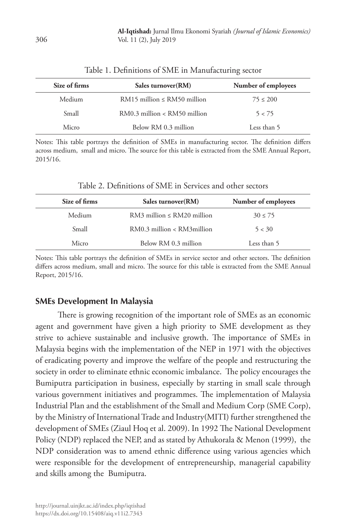| Size of firms | Sales turnover (RM)                | Number of employees |
|---------------|------------------------------------|---------------------|
| Medium        | $RM15$ million $\leq RM50$ million | $75 \le 200$        |
| Small         | $RM0.3$ million < $RM50$ million   | 5 < 75              |
| Micro         | Below RM 0.3 million               | Less than 5         |

| Table 1. Definitions of SME in Manufacturing sector |  |
|-----------------------------------------------------|--|
|-----------------------------------------------------|--|

Notes: This table portrays the definition of SMEs in manufacturing sector. The definition differs across medium, small and micro. The source for this table is extracted from the SME Annual Report, 2015/16.

| Size of firms | Sales turnover (RM)               | Number of employees |
|---------------|-----------------------------------|---------------------|
| Medium        | $RM3$ million $\leq RM20$ million | $30 \le 75$         |
| Small         | $RM0.3$ million < $RM3$ million   | 5 < 30              |
| Micro         | Below RM 0.3 million              | Less than 5         |

Table 2. Definitions of SME in Services and other sectors

Notes: This table portrays the definition of SMEs in service sector and other sectors. The definition differs across medium, small and micro. The source for this table is extracted from the SME Annual Report, 2015/16.

### **SMEs Development In Malaysia**

There is growing recognition of the important role of SMEs as an economic agent and government have given a high priority to SME development as they strive to achieve sustainable and inclusive growth. The importance of SMEs in Malaysia begins with the implementation of the NEP in 1971 with the objectives of eradicating poverty and improve the welfare of the people and restructuring the society in order to eliminate ethnic economic imbalance. The policy encourages the Bumiputra participation in business, especially by starting in small scale through various government initiatives and programmes. The implementation of Malaysia Industrial Plan and the establishment of the Small and Medium Corp (SME Corp), by the Ministry of International Trade and Industry(MITI) further strengthened the development of SMEs (Ziaul Hoq et al. 2009). In 1992 The National Development Policy (NDP) replaced the NEP, and as stated by Athukorala & Menon (1999), the NDP consideration was to amend ethnic difference using various agencies which were responsible for the development of entrepreneurship, managerial capability and skills among the Bumiputra.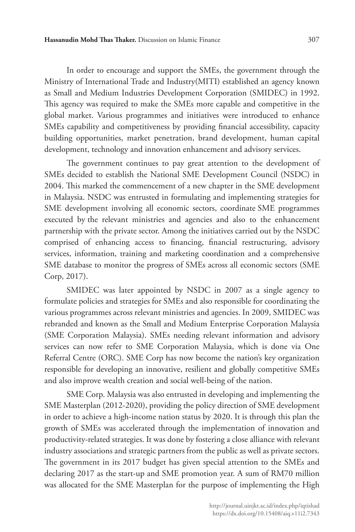In order to encourage and support the SMEs, the government through the Ministry of International Trade and Industry(MITI) established an agency known as Small and Medium Industries Development Corporation (SMIDEC) in 1992. This agency was required to make the SMEs more capable and competitive in the global market. Various programmes and initiatives were introduced to enhance SMEs capability and competitiveness by providing financial accessibility, capacity building opportunities, market penetration, brand development, human capital development, technology and innovation enhancement and advisory services.

The government continues to pay great attention to the development of SMEs decided to establish the National SME Development Council (NSDC) in 2004. This marked the commencement of a new chapter in the SME development in Malaysia. NSDC was entrusted in formulating and implementing strategies for SME development involving all economic sectors, coordinate SME programmes executed by the relevant ministries and agencies and also to the enhancement partnership with the private sector. Among the initiatives carried out by the NSDC comprised of enhancing access to financing, financial restructuring, advisory services, information, training and marketing coordination and a comprehensive SME database to monitor the progress of SMEs across all economic sectors (SME Corp, 2017).

SMIDEC was later appointed by NSDC in 2007 as a single agency to formulate policies and strategies for SMEs and also responsible for coordinating the various programmes across relevant ministries and agencies. In 2009, SMIDEC was rebranded and known as the Small and Medium Enterprise Corporation Malaysia (SME Corporation Malaysia). SMEs needing relevant information and advisory services can now refer to SME Corporation Malaysia, which is done via One Referral Centre (ORC). SME Corp has now become the nation's key organization responsible for developing an innovative, resilient and globally competitive SMEs and also improve wealth creation and social well-being of the nation.

SME Corp. Malaysia was also entrusted in developing and implementing the SME Masterplan (2012-2020), providing the policy direction of SME development in order to achieve a high-income nation status by 2020. It is through this plan the growth of SMEs was accelerated through the implementation of innovation and productivity-related strategies. It was done by fostering a close alliance with relevant industry associations and strategic partners from the public as well as private sectors. The government in its 2017 budget has given special attention to the SMEs and declaring 2017 as the start-up and SME promotion year. A sum of RM70 million was allocated for the SME Masterplan for the purpose of implementing the High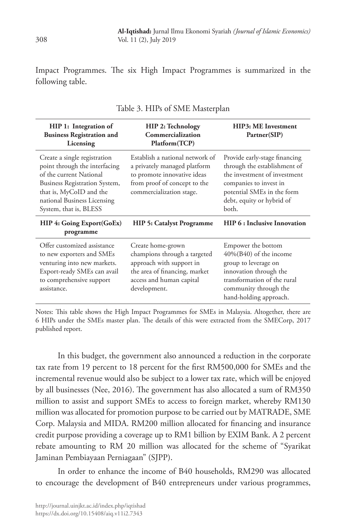Impact Programmes. The six High Impact Programmes is summarized in the following table.

| HIP 1: Integration of<br><b>Business Registration and</b><br>Licensing                                                                                                                                        | <b>HIP 2: Technology</b><br>Commercialization<br>Platform(TCP)                                                                                             | HIP3: ME Investment<br>Partner(SIP)                                                                                                                                                         |  |
|---------------------------------------------------------------------------------------------------------------------------------------------------------------------------------------------------------------|------------------------------------------------------------------------------------------------------------------------------------------------------------|---------------------------------------------------------------------------------------------------------------------------------------------------------------------------------------------|--|
| Create a single registration<br>point through the interfacing<br>of the current National<br>Business Registration System,<br>that is, MyCoID and the<br>national Business Licensing<br>System, that is, BLESS | Establish a national network of<br>a privately managed platform<br>to promote innovative ideas<br>from proof of concept to the<br>commercialization stage. | Provide early-stage financing<br>through the establishment of<br>the investment of investment<br>companies to invest in<br>potential SMEs in the form<br>debt, equity or hybrid of<br>both. |  |
| HIP 4: Going Export(GoEx)<br>programme                                                                                                                                                                        | <b>HIP 5: Catalyst Programme</b>                                                                                                                           | HIP 6 : Inclusive Innovation                                                                                                                                                                |  |
| Offer customized assistance<br>to new exporters and SMEs<br>venturing into new markets.<br>Export-ready SMEs can avail<br>to comprehensive support<br>assistance.                                             | Create home-grown<br>champions through a targeted<br>approach with support in<br>the area of financing, market<br>access and human capital<br>development. | Empower the bottom<br>$40\%$ (B40) of the income<br>group to leverage on<br>innovation through the<br>transformation of the rural<br>community through the<br>hand-holding approach.        |  |

|  |  |  | Table 3. HIPs of SME Masterplan |  |
|--|--|--|---------------------------------|--|
|--|--|--|---------------------------------|--|

Notes: This table shows the High Impact Programmes for SMEs in Malaysia. Altogether, there are 6 HIPs under the SMEs master plan. The details of this were extracted from the SMECorp, 2017 published report.

In this budget, the government also announced a reduction in the corporate tax rate from 19 percent to 18 percent for the first RM500,000 for SMEs and the incremental revenue would also be subject to a lower tax rate, which will be enjoyed by all businesses (Nee, 2016). The government has also allocated a sum of RM350 million to assist and support SMEs to access to foreign market, whereby RM130 million was allocated for promotion purpose to be carried out by MATRADE, SME Corp. Malaysia and MIDA. RM200 million allocated for financing and insurance credit purpose providing a coverage up to RM1 billion by EXIM Bank. A 2 percent rebate amounting to RM 20 million was allocated for the scheme of "Syarikat Jaminan Pembiayaan Perniagaan" (SJPP).

In order to enhance the income of B40 households, RM290 was allocated to encourage the development of B40 entrepreneurs under various programmes,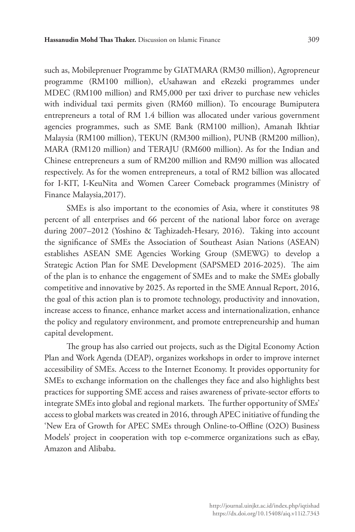such as, Mobileprenuer Programme by GIATMARA (RM30 million), Agropreneur programme (RM100 million), eUsahawan and eRezeki programmes under MDEC (RM100 million) and RM5,000 per taxi driver to purchase new vehicles with individual taxi permits given (RM60 million). To encourage Bumiputera entrepreneurs a total of RM 1.4 billion was allocated under various government agencies programmes, such as SME Bank (RM100 million), Amanah Ikhtiar Malaysia (RM100 million), TEKUN (RM300 million), PUNB (RM200 million), MARA (RM120 million) and TERAJU (RM600 million). As for the Indian and Chinese entrepreneurs a sum of RM200 million and RM90 million was allocated respectively. As for the women entrepreneurs, a total of RM2 billion was allocated for I-KIT, I-KeuNita and Women Career Comeback programmes (Ministry of Finance Malaysia,2017).

SMEs is also important to the economies of Asia, where it constitutes 98 percent of all enterprises and 66 percent of the national labor force on average during 2007–2012 (Yoshino & Taghizadeh-Hesary, 2016). Taking into account the significance of SMEs the Association of Southeast Asian Nations (ASEAN) establishes ASEAN SME Agencies Working Group (SMEWG) to develop a Strategic Action Plan for SME Development (SAPSMED 2016-2025). The aim of the plan is to enhance the engagement of SMEs and to make the SMEs globally competitive and innovative by 2025. As reported in the SME Annual Report, 2016, the goal of this action plan is to promote technology, productivity and innovation, increase access to finance, enhance market access and internationalization, enhance the policy and regulatory environment, and promote entrepreneurship and human capital development.

The group has also carried out projects, such as the Digital Economy Action Plan and Work Agenda (DEAP), organizes workshops in order to improve internet accessibility of SMEs. Access to the Internet Economy. It provides opportunity for SMEs to exchange information on the challenges they face and also highlights best practices for supporting SME access and raises awareness of private-sector efforts to integrate SMEs into global and regional markets. The further opportunity of SMEs' access to global markets was created in 2016, through APEC initiative of funding the 'New Era of Growth for APEC SMEs through Online-to-Offline (O2O) Business Models' project in cooperation with top e-commerce organizations such as eBay, Amazon and Alibaba.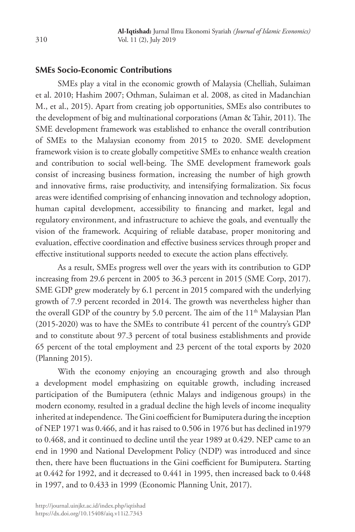### **SMEs Socio-Economic Contributions**

SMEs play a vital in the economic growth of Malaysia (Chelliah, Sulaiman et al. 2010; Hashim 2007; Othman, Sulaiman et al. 2008, as cited in Madanchian M., et al., 2015). Apart from creating job opportunities, SMEs also contributes to the development of big and multinational corporations (Aman & Tahir, 2011). The SME development framework was established to enhance the overall contribution of SMEs to the Malaysian economy from 2015 to 2020. SME development framework vision is to create globally competitive SMEs to enhance wealth creation and contribution to social well-being. The SME development framework goals consist of increasing business formation, increasing the number of high growth and innovative firms, raise productivity, and intensifying formalization. Six focus areas were identified comprising of enhancing innovation and technology adoption, human capital development, accessibility to financing and market, legal and regulatory environment, and infrastructure to achieve the goals, and eventually the vision of the framework. Acquiring of reliable database, proper monitoring and evaluation, effective coordination and effective business services through proper and effective institutional supports needed to execute the action plans effectively.

As a result, SMEs progress well over the years with its contribution to GDP increasing from 29.6 percent in 2005 to 36.3 percent in 2015 (SME Corp, 2017). SME GDP grew moderately by 6.1 percent in 2015 compared with the underlying growth of 7.9 percent recorded in 2014. The growth was nevertheless higher than the overall GDP of the country by 5.0 percent. The aim of the 11<sup>th</sup> Malaysian Plan (2015-2020) was to have the SMEs to contribute 41 percent of the country's GDP and to constitute about 97.3 percent of total business establishments and provide 65 percent of the total employment and 23 percent of the total exports by 2020 (Planning 2015).

With the economy enjoying an encouraging growth and also through a development model emphasizing on equitable growth, including increased participation of the Bumiputera (ethnic Malays and indigenous groups) in the modern economy, resulted in a gradual decline the high levels of income inequality inherited at independence. The Gini coefficient for Bumiputera during the inception of NEP 1971 was 0.466, and it has raised to 0.506 in 1976 but has declined in1979 to 0.468, and it continued to decline until the year 1989 at 0.429. NEP came to an end in 1990 and National Development Policy (NDP) was introduced and since then, there have been fluctuations in the Gini coefficient for Bumiputera. Starting at 0.442 for 1992, and it decreased to 0.441 in 1995, then increased back to 0.448 in 1997, and to 0.433 in 1999 (Economic Planning Unit, 2017).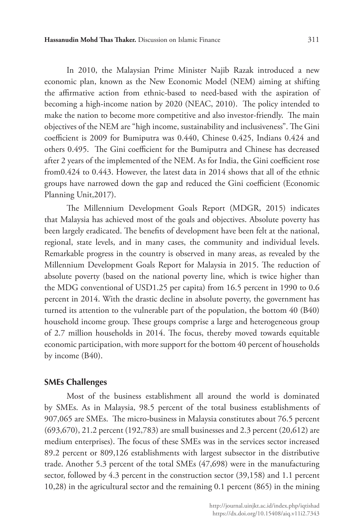In 2010, the Malaysian Prime Minister Najib Razak introduced a new economic plan, known as the New Economic Model (NEM) aiming at shifting the affirmative action from ethnic-based to need-based with the aspiration of becoming a high-income nation by 2020 (NEAC, 2010). The policy intended to make the nation to become more competitive and also investor-friendly. The main objectives of the NEM are "high income, sustainability and inclusiveness". The Gini coefficient is 2009 for Bumiputra was 0.440, Chinese 0.425, Indians 0.424 and others 0.495. The Gini coefficient for the Bumiputra and Chinese has decreased after 2 years of the implemented of the NEM. As for India, the Gini coefficient rose from0.424 to 0.443. However, the latest data in 2014 shows that all of the ethnic groups have narrowed down the gap and reduced the Gini coefficient (Economic Planning Unit,2017).

The Millennium Development Goals Report (MDGR, 2015) indicates that Malaysia has achieved most of the goals and objectives. Absolute poverty has been largely eradicated. The benefits of development have been felt at the national, regional, state levels, and in many cases, the community and individual levels. Remarkable progress in the country is observed in many areas, as revealed by the Millennium Development Goals Report for Malaysia in 2015. The reduction of absolute poverty (based on the national poverty line, which is twice higher than the MDG conventional of USD1.25 per capita) from 16.5 percent in 1990 to 0.6 percent in 2014. With the drastic decline in absolute poverty, the government has turned its attention to the vulnerable part of the population, the bottom 40 (B40) household income group. These groups comprise a large and heterogeneous group of 2.7 million households in 2014. The focus, thereby moved towards equitable economic participation, with more support for the bottom 40 percent of households by income (B40).

#### **SMEs Challenges**

Most of the business establishment all around the world is dominated by SMEs. As in Malaysia, 98.5 percent of the total business establishments of 907,065 are SMEs. The micro-business in Malaysia constitutes about 76.5 percent (693,670), 21.2 percent (192,783) are small businesses and 2.3 percent (20,612) are medium enterprises). The focus of these SMEs was in the services sector increased 89.2 percent or 809,126 establishments with largest subsector in the distributive trade. Another 5.3 percent of the total SMEs (47,698) were in the manufacturing sector, followed by 4.3 percent in the construction sector (39,158) and 1.1 percent 10,28) in the agricultural sector and the remaining 0.1 percent (865) in the mining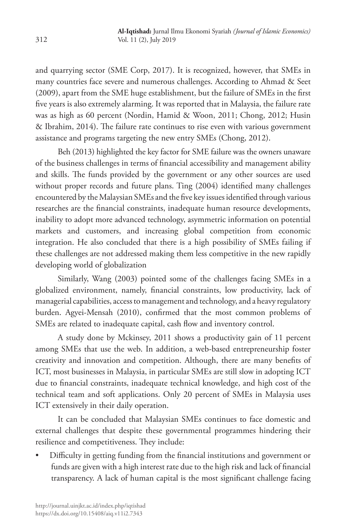and quarrying sector (SME Corp, 2017). It is recognized, however, that SMEs in many countries face severe and numerous challenges. According to Ahmad & Seet (2009), apart from the SME huge establishment, but the failure of SMEs in the first five years is also extremely alarming. It was reported that in Malaysia, the failure rate was as high as 60 percent (Nordin, Hamid & Woon, 2011; Chong, 2012; Husin & Ibrahim, 2014). The failure rate continues to rise even with various government assistance and programs targeting the new entry SMEs (Chong, 2012).

Beh (2013) highlighted the key factor for SME failure was the owners unaware of the business challenges in terms of financial accessibility and management ability and skills. The funds provided by the government or any other sources are used without proper records and future plans. Ting (2004) identified many challenges encountered by the Malaysian SMEs and the five key issues identified through various researches are the financial constraints, inadequate human resource developments, inability to adopt more advanced technology, asymmetric information on potential markets and customers, and increasing global competition from economic integration. He also concluded that there is a high possibility of SMEs failing if these challenges are not addressed making them less competitive in the new rapidly developing world of globalization

Similarly, Wang (2003) pointed some of the challenges facing SMEs in a globalized environment, namely, financial constraints, low productivity, lack of managerial capabilities, access to management and technology, and a heavy regulatory burden. Agyei-Mensah (2010), confirmed that the most common problems of SMEs are related to inadequate capital, cash flow and inventory control.

A study done by Mckinsey, 2011 shows a productivity gain of 11 percent among SMEs that use the web. In addition, a web-based entrepreneurship foster creativity and innovation and competition. Although, there are many benefits of ICT, most businesses in Malaysia, in particular SMEs are still slow in adopting ICT due to financial constraints, inadequate technical knowledge, and high cost of the technical team and soft applications. Only 20 percent of SMEs in Malaysia uses ICT extensively in their daily operation.

It can be concluded that Malaysian SMEs continues to face domestic and external challenges that despite these governmental programmes hindering their resilience and competitiveness. They include:

• Difficulty in getting funding from the financial institutions and government or funds are given with a high interest rate due to the high risk and lack of financial transparency. A lack of human capital is the most significant challenge facing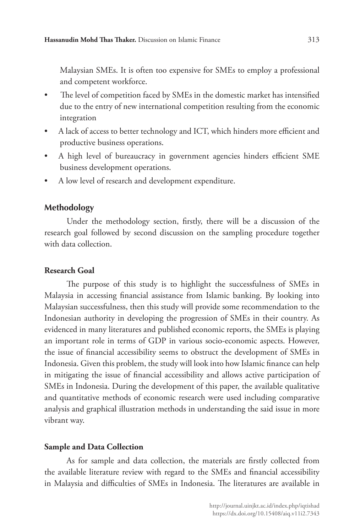Malaysian SMEs. It is often too expensive for SMEs to employ a professional and competent workforce.

- The level of competition faced by SMEs in the domestic market has intensified due to the entry of new international competition resulting from the economic integration
- A lack of access to better technology and ICT, which hinders more efficient and productive business operations.
- A high level of bureaucracy in government agencies hinders efficient SME business development operations.
- A low level of research and development expenditure.

### **Methodology**

Under the methodology section, firstly, there will be a discussion of the research goal followed by second discussion on the sampling procedure together with data collection.

### **Research Goal**

The purpose of this study is to highlight the successfulness of SMEs in Malaysia in accessing financial assistance from Islamic banking. By looking into Malaysian successfulness, then this study will provide some recommendation to the Indonesian authority in developing the progression of SMEs in their country. As evidenced in many literatures and published economic reports, the SMEs is playing an important role in terms of GDP in various socio-economic aspects. However, the issue of financial accessibility seems to obstruct the development of SMEs in Indonesia. Given this problem, the study will look into how Islamic finance can help in mitigating the issue of financial accessibility and allows active participation of SMEs in Indonesia. During the development of this paper, the available qualitative and quantitative methods of economic research were used including comparative analysis and graphical illustration methods in understanding the said issue in more vibrant way.

### **Sample and Data Collection**

As for sample and data collection, the materials are firstly collected from the available literature review with regard to the SMEs and financial accessibility in Malaysia and difficulties of SMEs in Indonesia. The literatures are available in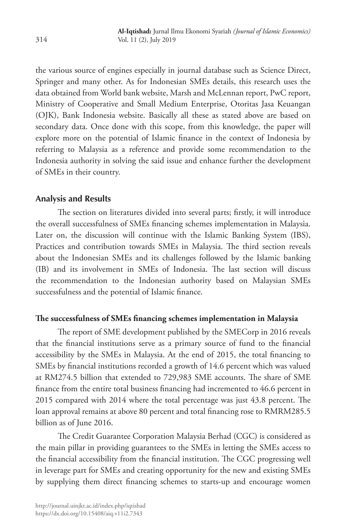the various source of engines especially in journal database such as Science Direct, Springer and many other. As for Indonesian SMEs details, this research uses the data obtained from World bank website, Marsh and McLennan report, PwC report, Ministry of Cooperative and Small Medium Enterprise, Otoritas Jasa Keuangan (OJK), Bank Indonesia website. Basically all these as stated above are based on secondary data. Once done with this scope, from this knowledge, the paper will explore more on the potential of Islamic finance in the context of Indonesia by referring to Malaysia as a reference and provide some recommendation to the Indonesia authority in solving the said issue and enhance further the development of SMEs in their country.

### **Analysis and Results**

The section on literatures divided into several parts; firstly, it will introduce the overall successfulness of SMEs financing schemes implementation in Malaysia. Later on, the discussion will continue with the Islamic Banking System (IBS), Practices and contribution towards SMEs in Malaysia. The third section reveals about the Indonesian SMEs and its challenges followed by the Islamic banking (IB) and its involvement in SMEs of Indonesia. The last section will discuss the recommendation to the Indonesian authority based on Malaysian SMEs successfulness and the potential of Islamic finance.

### **The successfulness of SMEs financing schemes implementation in Malaysia**

The report of SME development published by the SMECorp in 2016 reveals that the financial institutions serve as a primary source of fund to the financial accessibility by the SMEs in Malaysia. At the end of 2015, the total financing to SMEs by financial institutions recorded a growth of 14.6 percent which was valued at RM274.5 billion that extended to 729,983 SME accounts. The share of SME finance from the entire total business financing had incremented to 46.6 percent in 2015 compared with 2014 where the total percentage was just 43.8 percent. The loan approval remains at above 80 percent and total financing rose to RMRM285.5 billion as of June 2016.

The Credit Guarantee Corporation Malaysia Berhad (CGC) is considered as the main pillar in providing guarantees to the SMEs in letting the SMEs access to the financial accessibility from the financial institution. The CGC progressing well in leverage part for SMEs and creating opportunity for the new and existing SMEs by supplying them direct financing schemes to starts-up and encourage women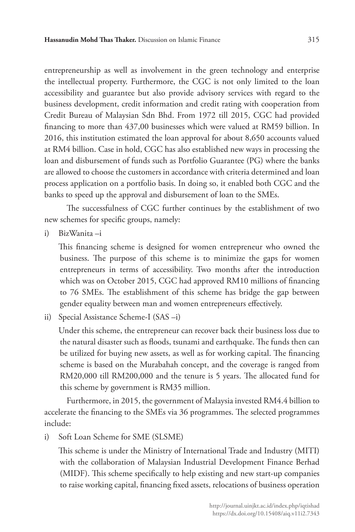entrepreneurship as well as involvement in the green technology and enterprise the intellectual property. Furthermore, the CGC is not only limited to the loan accessibility and guarantee but also provide advisory services with regard to the business development, credit information and credit rating with cooperation from Credit Bureau of Malaysian Sdn Bhd. From 1972 till 2015, CGC had provided financing to more than 437,00 businesses which were valued at RM59 billion. In 2016, this institution estimated the loan approval for about 8,650 accounts valued at RM4 billion. Case in hold, CGC has also established new ways in processing the loan and disbursement of funds such as Portfolio Guarantee (PG) where the banks are allowed to choose the customers in accordance with criteria determined and loan process application on a portfolio basis. In doing so, it enabled both CGC and the banks to speed up the approval and disbursement of loan to the SMEs.

The successfulness of CGC further continues by the establishment of two new schemes for specific groups, namely:

i) BizWanita –i

This financing scheme is designed for women entrepreneur who owned the business. The purpose of this scheme is to minimize the gaps for women entrepreneurs in terms of accessibility. Two months after the introduction which was on October 2015, CGC had approved RM10 millions of financing to 76 SMEs. The establishment of this scheme has bridge the gap between gender equality between man and women entrepreneurs effectively.

ii) Special Assistance Scheme-I (SAS –i)

Under this scheme, the entrepreneur can recover back their business loss due to the natural disaster such as floods, tsunami and earthquake. The funds then can be utilized for buying new assets, as well as for working capital. The financing scheme is based on the Murabahah concept, and the coverage is ranged from RM20,000 till RM200,000 and the tenure is 5 years. The allocated fund for this scheme by government is RM35 million.

Furthermore, in 2015, the government of Malaysia invested RM4.4 billion to accelerate the financing to the SMEs via 36 programmes. The selected programmes include:

i) Soft Loan Scheme for SME (SLSME)

This scheme is under the Ministry of International Trade and Industry (MITI) with the collaboration of Malaysian Industrial Development Finance Berhad (MIDF). This scheme specifically to help existing and new start-up companies to raise working capital, financing fixed assets, relocations of business operation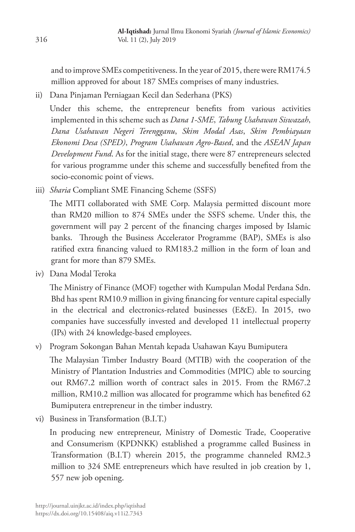and to improve SMEs competitiveness. In the year of 2015, there were RM174.5 million approved for about 187 SMEs comprises of many industries.

ii) Dana Pinjaman Perniagaan Kecil dan Sederhana (PKS)

Under this scheme, the entrepreneur benefits from various activities implemented in this scheme such as *Dana 1-SME*, *Tabung Usahawan Siswazah*, *Dana Usahawan Negeri Terengganu*, *Skim Modal Asas*, *Skim Pembiayaan Ekonomi Desa (SPED)*, *Program Usahawan Agro-Based*, and the *ASEAN Japan Development Fund*. As for the initial stage, there were 87 entrepreneurs selected for various programme under this scheme and successfully benefited from the socio-economic point of views.

iii) *Sharia* Compliant SME Financing Scheme (SSFS)

The MITI collaborated with SME Corp. Malaysia permitted discount more than RM20 million to 874 SMEs under the SSFS scheme. Under this, the government will pay 2 percent of the financing charges imposed by Islamic banks. Through the Business Accelerator Programme (BAP), SMEs is also ratified extra financing valued to RM183.2 million in the form of loan and grant for more than 879 SMEs.

iv) Dana Modal Teroka

The Ministry of Finance (MOF) together with Kumpulan Modal Perdana Sdn. Bhd has spent RM10.9 million in giving financing for venture capital especially in the electrical and electronics-related businesses (E&E). In 2015, two companies have successfully invested and developed 11 intellectual property (IPs) with 24 knowledge-based employees.

v) Program Sokongan Bahan Mentah kepada Usahawan Kayu Bumiputera

The Malaysian Timber Industry Board (MTIB) with the cooperation of the Ministry of Plantation Industries and Commodities (MPIC) able to sourcing out RM67.2 million worth of contract sales in 2015. From the RM67.2 million, RM10.2 million was allocated for programme which has benefited 62 Bumiputera entrepreneur in the timber industry.

vi) Business in Transformation (B.I.T.)

In producing new entrepreneur, Ministry of Domestic Trade, Cooperative and Consumerism (KPDNKK) established a programme called Business in Transformation (B.I.T) wherein 2015, the programme channeled RM2.3 million to 324 SME entrepreneurs which have resulted in job creation by 1, 557 new job opening.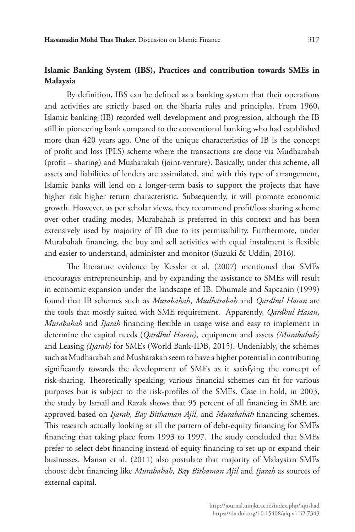# **Islamic Banking System (IBS), Practices and contribution towards SMEs in Malaysia**

By definition, IBS can be defined as a banking system that their operations and activities are strictly based on the Sharia rules and principles. From 1960, Islamic banking (IB) recorded well development and progression, although the IB still in pioneering bank compared to the conventional banking who had established more than 420 years ago. One of the unique characteristics of IB is the concept of profit and loss (PLS) scheme where the transactions are done via Mudharabah (profit – sharing) and Musharakah (joint-venture). Basically, under this scheme, all assets and liabilities of lenders are assimilated, and with this type of arrangement, Islamic banks will lend on a longer-term basis to support the projects that have higher risk higher return characteristic. Subsequently, it will promote economic growth. However, as per scholar views, they recommend profit/loss sharing scheme over other trading modes, Murabahah is preferred in this context and has been extensively used by majority of IB due to its permissibility. Furthermore, under Murabahah financing, the buy and sell activities with equal instalment is flexible and easier to understand, administer and monitor (Suzuki & Uddin, 2016).

The literature evidence by Kessler et al. (2007) mentioned that SMEs encourages entrepreneurship, and by expanding the assistance to SMEs will result in economic expansion under the landscape of IB. Dhumale and Sapcanin (1999) found that IB schemes such as *Murabahah*, *Mudharabah* and *Qardhul Hasan* are the tools that mostly suited with SME requirement. Apparently, *Qardhul Hasan*, *Murabahah* and *Ijarah* financing flexible in usage wise and easy to implement in determine the capital needs (*Qardhul Hasan),* equipment and assets *(Murabahah)*  and Leasing *(Ijarah)* for SMEs (World Bank-IDB, 2015). Undeniably, the schemes such as Mudharabah and Musharakah seem to have a higher potential in contributing significantly towards the development of SMEs as it satisfying the concept of risk-sharing. Theoretically speaking, various financial schemes can fit for various purposes but is subject to the risk-profiles of the SMEs. Case in hold, in 2003, the study by Ismail and Razak shows that 95 percent of all financing in SME are approved based on *Ijarah, Bay Bithaman Ajil*, and *Murabahah* financing schemes. This research actually looking at all the pattern of debt-equity financing for SMEs financing that taking place from 1993 to 1997. The study concluded that SMEs prefer to select debt financing instead of equity financing to set-up or expand their businesses. Manan et al. (2011) also postulate that majority of Malaysian SMEs choose debt financing like *Murabahah, Bay Bithaman Ajil* and *Ijarah* as sources of external capital.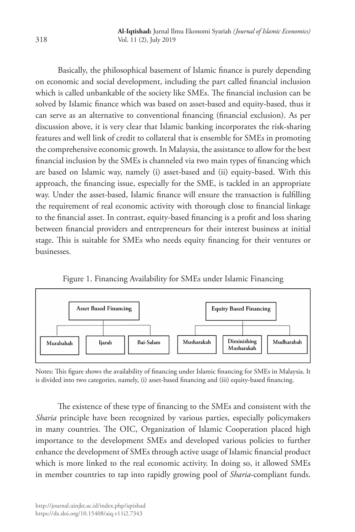Basically, the philosophical basement of Islamic finance is purely depending on economic and social development, including the part called financial inclusion which is called unbankable of the society like SMEs. The financial inclusion can be solved by Islamic finance which was based on asset-based and equity-based, thus it can serve as an alternative to conventional financing (financial exclusion). As per discussion above, it is very clear that Islamic banking incorporates the risk-sharing features and well link of credit to collateral that is ensemble for SMEs in promoting the comprehensive economic growth. In Malaysia, the assistance to allow for the best financial inclusion by the SMEs is channeled via two main types of financing which are based on Islamic way, namely (i) asset-based and (ii) equity-based. With this approach, the financing issue, especially for the SME, is tackled in an appropriate way. Under the asset-based, Islamic finance will ensure the transaction is fulfilling the requirement of real economic activity with thorough close to financial linkage to the financial asset. In contrast, equity-based financing is a profit and loss sharing between financial providers and entrepreneurs for their interest business at initial stage. This is suitable for SMEs who needs equity financing for their ventures or businesses.

Figure 1. Financing Availability for SMEs under Islamic Financing



Notes: This figure shows the availability of financing under Islamic financing for SMEs in Malaysia. It is divided into two categories, namely, (i) asset-based financing and (iii) equity-based financing.

The existence of these type of financing to the SMEs and consistent with the *Sharia* principle have been recognized by various parties, especially policymakers in many countries. The OIC, Organization of Islamic Cooperation placed high importance to the development SMEs and developed various policies to further enhance the development of SMEs through active usage of Islamic financial product which is more linked to the real economic activity. In doing so, it allowed SMEs in member countries to tap into rapidly growing pool of *Sharia*-compliant funds.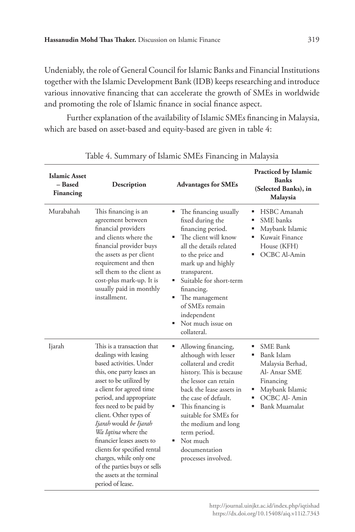Undeniably, the role of General Council for Islamic Banks and Financial Institutions together with the Islamic Development Bank (IDB) keeps researching and introduce various innovative financing that can accelerate the growth of SMEs in worldwide and promoting the role of Islamic finance in social finance aspect.

Further explanation of the availability of Islamic SMEs financing in Malaysia, which are based on asset-based and equity-based are given in table 4:

| <b>Islamic Asset</b><br>– Based<br>Financing | Description                                                                                                                                                                                                                                                                                                                                                                                                                                                                    | <b>Advantages for SMEs</b>                                                                                                                                                                                                                                                                                                       | Practiced by Islamic<br><b>Banks</b><br>(Selected Banks), in<br>Malaysia                                                                        |
|----------------------------------------------|--------------------------------------------------------------------------------------------------------------------------------------------------------------------------------------------------------------------------------------------------------------------------------------------------------------------------------------------------------------------------------------------------------------------------------------------------------------------------------|----------------------------------------------------------------------------------------------------------------------------------------------------------------------------------------------------------------------------------------------------------------------------------------------------------------------------------|-------------------------------------------------------------------------------------------------------------------------------------------------|
| Murabahah                                    | This financing is an<br>agreement between<br>financial providers<br>and clients where the<br>financial provider buys<br>the assets as per client<br>requirement and then<br>sell them to the client as<br>cost-plus mark-up. It is<br>usually paid in monthly<br>installment.                                                                                                                                                                                                  | ٠<br>The financing usually<br>fixed during the<br>financing period.<br>The client will know<br>п.<br>all the details related<br>to the price and<br>mark up and highly<br>transparent.<br>Suitable for short-term<br>financing.<br>The management<br>ш<br>of SMEs remain<br>independent<br>Not much issue on<br>٠<br>collateral. | HSBC Amanah<br><b>SME</b> banks<br>Maybank Islamic<br>Kuwait Finance<br>House (KFH)<br>OCBC Al-Amin                                             |
| Ijarah                                       | This is a transaction that<br>dealings with leasing<br>based activities. Under<br>this, one party leases an<br>asset to be utilized by<br>a client for agreed time<br>period, and appropriate<br>fees need to be paid by<br>client. Other types of<br>Ijarah would be Ijarah<br>Wa Iqtina where the<br>financier leases assets to<br>clients for specified rental<br>charges, while only one<br>of the parties buys or sells<br>the assets at the terminal<br>period of lease. | Allowing financing,<br>although with lesser<br>collateral and credit<br>history. This is because<br>the lessor can retain<br>back the lease assets in<br>the case of default.<br>This financing is<br>п.<br>suitable for SMEs for<br>the medium and long<br>term period.<br>Not much<br>documentation<br>processes involved.     | <b>SME</b> Bank<br>Bank Islam<br>Malaysia Berhad,<br>Al- Ansar SME<br>Financing<br>Maybank Islamic<br>д<br>OCBC Al-Amin<br><b>Bank Muamalat</b> |

Table 4. Summary of Islamic SMEs Financing in Malaysia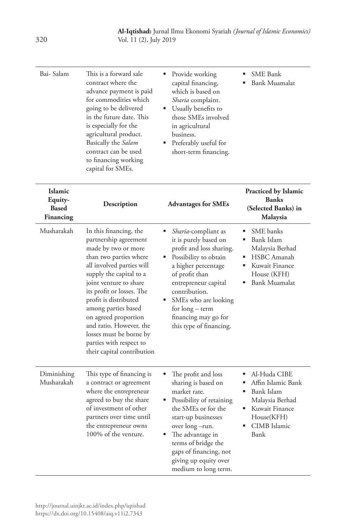| Bai- Salam                                      | This is a forward sale<br>contract where the<br>advance payment is paid<br>for commodities which<br>going to be delivered<br>in the future date. This<br>is especially for the<br>agricultural product.<br>Basically the Salam<br>contract can be used<br>to financing working<br>capital for SMEs.                                                                                                    | Provide working<br>capital financing,<br>which is based on<br><i>Sharia</i> complaint.<br>Usually benefits to<br>those SMEs involved<br>in agricultural<br>business.<br>Preferably useful for<br>short-term financing.                                                                                   | <b>SME</b> Bank<br><b>Bank Muamalat</b>                                                                                                    |
|-------------------------------------------------|--------------------------------------------------------------------------------------------------------------------------------------------------------------------------------------------------------------------------------------------------------------------------------------------------------------------------------------------------------------------------------------------------------|----------------------------------------------------------------------------------------------------------------------------------------------------------------------------------------------------------------------------------------------------------------------------------------------------------|--------------------------------------------------------------------------------------------------------------------------------------------|
| Islamic<br>Equity-<br><b>Based</b><br>Financing | Description                                                                                                                                                                                                                                                                                                                                                                                            | <b>Advantages for SMEs</b>                                                                                                                                                                                                                                                                               | <b>Practiced by Islamic</b><br><b>Banks</b><br>(Selected Banks) in<br>Malaysia                                                             |
| Musharakah                                      | In this financing, the<br>partnership agreement<br>made by two or more<br>than two parties where<br>all involved parties will<br>supply the capital to a<br>joint venture to share<br>its profit or losses. The<br>profit is distributed<br>among parties based<br>on agreed proportion<br>and ratio. However, the<br>losses must be borne by<br>parties with respect to<br>their capital contribution | ٠<br><i>Sharia</i> -compliant as<br>it is purely based on<br>profit and loss sharing.<br>Possibility to obtain<br>٠<br>a higher percentage<br>of profit than<br>entrepreneur capital<br>contribution.<br>SMEs who are looking<br>٠<br>for long – term<br>financing may go for<br>this type of financing. | SME banks<br>٠<br>٠<br>Bank Islam<br>Malaysia Berhad<br>HSBC Amanah<br>٠<br>Kuwait Finance<br>House (KFH)<br><b>Bank Muamalat</b>          |
| Diminishing<br>Musharakah                       | This type of financing is<br>a contract or agreement<br>where the entrepreneur<br>agreed to buy the share<br>of investment of other<br>partners over time until<br>the entrepreneur owns<br>100% of the venture.                                                                                                                                                                                       | ٠<br>The profit and loss<br>sharing is based on<br>market rate.<br>Possibility of retaining<br>the SMEs or for the<br>start-up businesses<br>over long –run.<br>The advantage in<br>٠<br>terms of bridge the<br>gaps of financing, not<br>giving up equity over<br>medium to long term.                  | Al-Huda CIBE<br>٠<br>Affin Islamic Bank<br>Bank Islam<br>٠<br>Malaysia Berhad<br>Kuwait Finance<br>٠<br>House(KFH)<br>CIMB Islamic<br>Bank |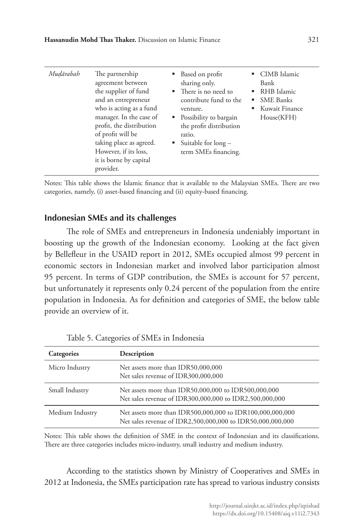| Mudārabah | The partnership<br>agreement between<br>the supplier of fund<br>and an entrepreneur<br>who is acting as a fund<br>manager. In the case of<br>profit, the distribution<br>of profit will be<br>taking place as agreed.<br>However, if its loss,<br>it is borne by capital<br>provider. | н. | ■ Based on profit<br>sharing only.<br>• There is no need to<br>contribute fund to the<br>venture.<br>• Possibility to bargain<br>the profit distribution<br>ratio.<br>Suitable for long –<br>term SMEs financing. |  | • CIMB Islamic<br>Bank<br>$\blacksquare$ RHB Islamic<br>• SME Banks<br>■ Kuwait Finance<br>House(KFH) |
|-----------|---------------------------------------------------------------------------------------------------------------------------------------------------------------------------------------------------------------------------------------------------------------------------------------|----|-------------------------------------------------------------------------------------------------------------------------------------------------------------------------------------------------------------------|--|-------------------------------------------------------------------------------------------------------|
|-----------|---------------------------------------------------------------------------------------------------------------------------------------------------------------------------------------------------------------------------------------------------------------------------------------|----|-------------------------------------------------------------------------------------------------------------------------------------------------------------------------------------------------------------------|--|-------------------------------------------------------------------------------------------------------|

Notes: This table shows the Islamic finance that is available to the Malaysian SMEs. There are two categories, namely, (i) asset-based financing and (ii) equity-based financing.

# **Indonesian SMEs and its challenges**

The role of SMEs and entrepreneurs in Indonesia undeniably important in boosting up the growth of the Indonesian economy. Looking at the fact given by Bellefleur in the USAID report in 2012, SMEs occupied almost 99 percent in economic sectors in Indonesian market and involved labor participation almost 95 percent. In terms of GDP contribution, the SMEs is account for 57 percent, but unfortunately it represents only 0.24 percent of the population from the entire population in Indonesia. As for definition and categories of SME, the below table provide an overview of it.

| Categories      | Description                                                                                                             |
|-----------------|-------------------------------------------------------------------------------------------------------------------------|
| Micro Industry  | Net assets more than IDR50,000,000<br>Net sales revenue of IDR300,000,000                                               |
| Small Industry  | Net assets more than IDR50,000,000 to IDR500,000,000<br>Net sales revenue of IDR300,000,000 to IDR2,500,000,000         |
| Medium Industry | Net assets more than IDR500,000,000 to IDR100,000,000,000<br>Net sales revenue of IDR2,500,000,000 to IDR50,000,000,000 |

|  | Table 5. Categories of SMEs in Indonesia |  |  |  |
|--|------------------------------------------|--|--|--|
|--|------------------------------------------|--|--|--|

Notes: This table shows the definition of SME in the context of Indonesian and its classifications. There are three categories includes micro-industry, small industry and medium industry.

According to the statistics shown by Ministry of Cooperatives and SMEs in 2012 at Indonesia, the SMEs participation rate has spread to various industry consists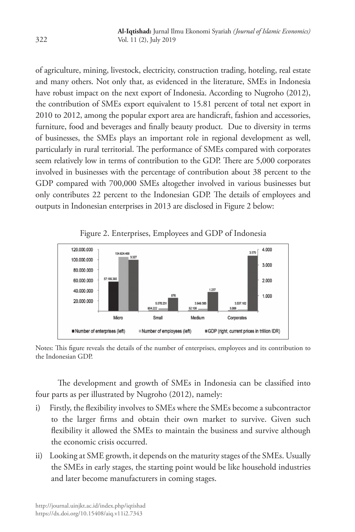of agriculture, mining, livestock, electricity, construction trading, hoteling, real estate and many others. Not only that, as evidenced in the literature, SMEs in Indonesia have robust impact on the next export of Indonesia. According to Nugroho (2012), the contribution of SMEs export equivalent to 15.81 percent of total net export in 2010 to 2012, among the popular export area are handicraft, fashion and accessories, furniture, food and beverages and finally beauty product. Due to diversity in terms of businesses, the SMEs plays an important role in regional development as well, particularly in rural territorial. The performance of SMEs compared with corporates seem relatively low in terms of contribution to the GDP. There are 5,000 corporates involved in businesses with the percentage of contribution about 38 percent to the GDP compared with 700,000 SMEs altogether involved in various businesses but only contributes 22 percent to the Indonesian GDP. The details of employees and outputs in Indonesian enterprises in 2013 are disclosed in Figure 2 below:



Figure 2. Enterprises, Employees and GDP of Indonesia

Notes: This figure reveals the details of the number of enterprises, employees and its contribution to the Indonesian GDP.

The development and growth of SMEs in Indonesia can be classified into four parts as per illustrated by Nugroho (2012), namely:

- i) Firstly, the flexibility involves to SMEs where the SMEs become a subcontractor to the larger firms and obtain their own market to survive. Given such flexibility it allowed the SMEs to maintain the business and survive although the economic crisis occurred.
- ii) Looking at SME growth, it depends on the maturity stages of the SMEs. Usually the SMEs in early stages, the starting point would be like household industries and later become manufacturers in coming stages.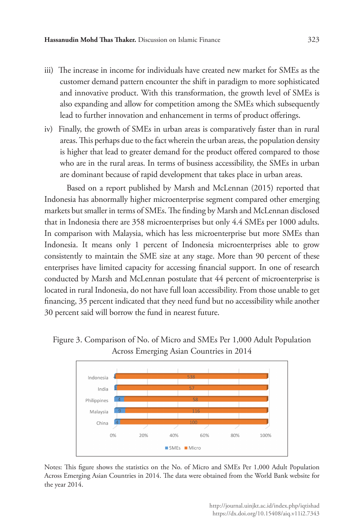- iii) The increase in income for individuals have created new market for SMEs as the customer demand pattern encounter the shift in paradigm to more sophisticated and innovative product. With this transformation, the growth level of SMEs is also expanding and allow for competition among the SMEs which subsequently lead to further innovation and enhancement in terms of product offerings.
- iv) Finally, the growth of SMEs in urban areas is comparatively faster than in rural areas. This perhaps due to the fact wherein the urban areas, the population density is higher that lead to greater demand for the product offered compared to those who are in the rural areas. In terms of business accessibility, the SMEs in urban are dominant because of rapid development that takes place in urban areas.

Based on a report published by Marsh and McLennan (2015) reported that Indonesia has abnormally higher microenterprise segment compared other emerging markets but smaller in terms of SMEs. The finding by Marsh and McLennan disclosed that in Indonesia there are 358 microenterprises but only 4.4 SMEs per 1000 adults. In comparison with Malaysia, which has less microenterprise but more SMEs than Indonesia. It means only 1 percent of Indonesia microenterprises able to grow consistently to maintain the SME size at any stage. More than 90 percent of these enterprises have limited capacity for accessing financial support. In one of research conducted by Marsh and McLennan postulate that 44 percent of microenterprise is located in rural Indonesia, do not have full loan accessibility. From those unable to get financing, 35 percent indicated that they need fund but no accessibility while another 30 percent said will borrow the fund in nearest future.



Figure 3. Comparison of No. of Micro and SMEs Per 1,000 Adult Population Across Emerging Asian Countries in 2014

Notes: This figure shows the statistics on the No. of Micro and SMEs Per 1,000 Adult Population Across Emerging Asian Countries in 2014. The data were obtained from the World Bank website for the year 2014.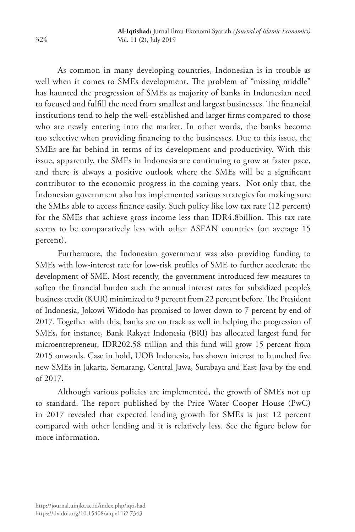As common in many developing countries, Indonesian is in trouble as well when it comes to SMEs development. The problem of "missing middle" has haunted the progression of SMEs as majority of banks in Indonesian need to focused and fulfill the need from smallest and largest businesses. The financial institutions tend to help the well-established and larger firms compared to those who are newly entering into the market. In other words, the banks become too selective when providing financing to the businesses. Due to this issue, the SMEs are far behind in terms of its development and productivity. With this issue, apparently, the SMEs in Indonesia are continuing to grow at faster pace, and there is always a positive outlook where the SMEs will be a significant contributor to the economic progress in the coming years. Not only that, the Indonesian government also has implemented various strategies for making sure the SMEs able to access finance easily. Such policy like low tax rate (12 percent) for the SMEs that achieve gross income less than IDR4.8billion. This tax rate seems to be comparatively less with other ASEAN countries (on average 15 percent).

Furthermore, the Indonesian government was also providing funding to SMEs with low-interest rate for low-risk profiles of SME to further accelerate the development of SME. Most recently, the government introduced few measures to soften the financial burden such the annual interest rates for subsidized people's business credit (KUR) minimized to 9 percent from 22 percent before. The President of Indonesia, Jokowi Widodo has promised to lower down to 7 percent by end of 2017. Together with this, banks are on track as well in helping the progression of SMEs, for instance, Bank Rakyat Indonesia (BRI) has allocated largest fund for microentrepreneur, IDR202.58 trillion and this fund will grow 15 percent from 2015 onwards. Case in hold, UOB Indonesia, has shown interest to launched five new SMEs in Jakarta, Semarang, Central Jawa, Surabaya and East Java by the end of 2017.

Although various policies are implemented, the growth of SMEs not up to standard. The report published by the Price Water Cooper House (PwC) in 2017 revealed that expected lending growth for SMEs is just 12 percent compared with other lending and it is relatively less. See the figure below for more information.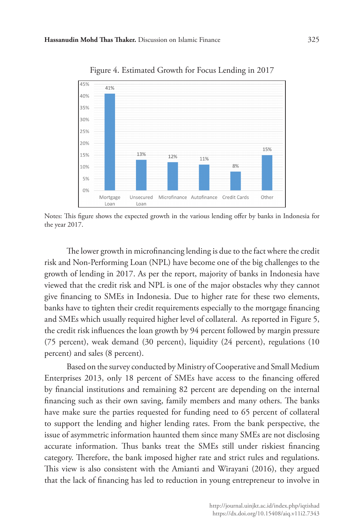

Figure 4. Estimated Growth for Focus Lending in 2017

Notes: This figure shows the expected growth in the various lending offer by banks in Indonesia for the year 2017.

The lower growth in microfinancing lending is due to the fact where the credit risk and Non-Performing Loan (NPL) have become one of the big challenges to the growth of lending in 2017. As per the report, majority of banks in Indonesia have viewed that the credit risk and NPL is one of the major obstacles why they cannot give financing to SMEs in Indonesia. Due to higher rate for these two elements, banks have to tighten their credit requirements especially to the mortgage financing and SMEs which usually required higher level of collateral. As reported in Figure 5, the credit risk influences the loan growth by 94 percent followed by margin pressure (75 percent), weak demand (30 percent), liquidity (24 percent), regulations (10 percent) and sales (8 percent).

Based on the survey conducted by Ministry of Cooperative and Small Medium Enterprises 2013, only 18 percent of SMEs have access to the financing offered by financial institutions and remaining 82 percent are depending on the internal financing such as their own saving, family members and many others. The banks have make sure the parties requested for funding need to 65 percent of collateral to support the lending and higher lending rates. From the bank perspective, the issue of asymmetric information haunted them since many SMEs are not disclosing accurate information. Thus banks treat the SMEs still under riskiest financing category. Therefore, the bank imposed higher rate and strict rules and regulations. This view is also consistent with the Amianti and Wirayani (2016), they argued that the lack of financing has led to reduction in young entrepreneur to involve in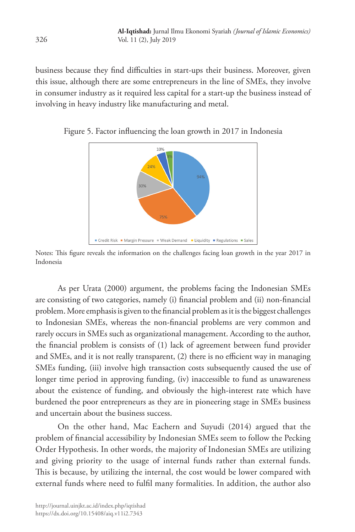business because they find difficulties in start-ups their business. Moreover, given this issue, although there are some entrepreneurs in the line of SMEs, they involve in consumer industry as it required less capital for a start-up the business instead of involving in heavy industry like manufacturing and metal.



Figure 5. Factor influencing the loan growth in 2017 in Indonesia

Notes: This figure reveals the information on the challenges facing loan growth in the year 2017 in Indonesia

As per Urata (2000) argument, the problems facing the Indonesian SMEs are consisting of two categories, namely (i) financial problem and (ii) non-financial problem. More emphasis is given to the financial problem as it is the biggest challenges to Indonesian SMEs, whereas the non-financial problems are very common and rarely occurs in SMEs such as organizational management. According to the author, the financial problem is consists of (1) lack of agreement between fund provider and SMEs, and it is not really transparent, (2) there is no efficient way in managing SMEs funding, (iii) involve high transaction costs subsequently caused the use of longer time period in approving funding, (iv) inaccessible to fund as unawareness about the existence of funding, and obviously the high-interest rate which have burdened the poor entrepreneurs as they are in pioneering stage in SMEs business and uncertain about the business success.

On the other hand, Mac Eachern and Suyudi (2014) argued that the problem of financial accessibility by Indonesian SMEs seem to follow the Pecking Order Hypothesis. In other words, the majority of Indonesian SMEs are utilizing and giving priority to the usage of internal funds rather than external funds. This is because, by utilizing the internal, the cost would be lower compared with external funds where need to fulfil many formalities. In addition, the author also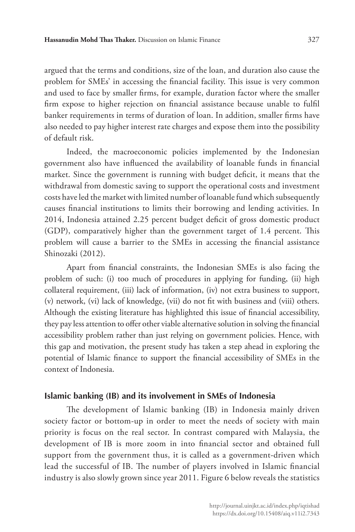argued that the terms and conditions, size of the loan, and duration also cause the problem for SMEs' in accessing the financial facility. This issue is very common and used to face by smaller firms, for example, duration factor where the smaller firm expose to higher rejection on financial assistance because unable to fulfil banker requirements in terms of duration of loan. In addition, smaller firms have also needed to pay higher interest rate charges and expose them into the possibility of default risk.

Indeed, the macroeconomic policies implemented by the Indonesian government also have influenced the availability of loanable funds in financial market. Since the government is running with budget deficit, it means that the withdrawal from domestic saving to support the operational costs and investment costs have led the market with limited number of loanable fund which subsequently causes financial institutions to limits their borrowing and lending activities. In 2014, Indonesia attained 2.25 percent budget deficit of gross domestic product (GDP), comparatively higher than the government target of 1.4 percent. This problem will cause a barrier to the SMEs in accessing the financial assistance Shinozaki (2012).

Apart from financial constraints, the Indonesian SMEs is also facing the problem of such: (i) too much of procedures in applying for funding, (ii) high collateral requirement, (iii) lack of information, (iv) not extra business to support, (v) network, (vi) lack of knowledge, (vii) do not fit with business and (viii) others. Although the existing literature has highlighted this issue of financial accessibility, they pay less attention to offer other viable alternative solution in solving the financial accessibility problem rather than just relying on government policies. Hence, with this gap and motivation, the present study has taken a step ahead in exploring the potential of Islamic finance to support the financial accessibility of SMEs in the context of Indonesia.

#### **Islamic banking (IB) and its involvement in SMEs of Indonesia**

The development of Islamic banking (IB) in Indonesia mainly driven society factor or bottom-up in order to meet the needs of society with main priority is focus on the real sector. In contrast compared with Malaysia, the development of IB is more zoom in into financial sector and obtained full support from the government thus, it is called as a government-driven which lead the successful of IB. The number of players involved in Islamic financial industry is also slowly grown since year 2011. Figure 6 below reveals the statistics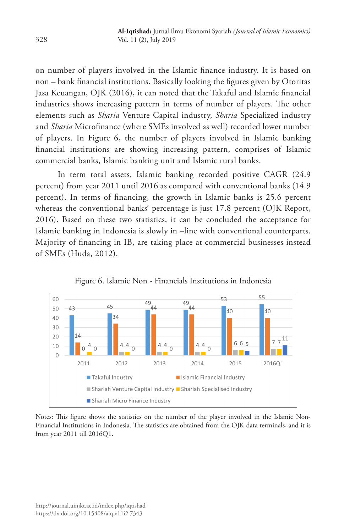on number of players involved in the Islamic finance industry. It is based on non – bank financial institutions. Basically looking the figures given by Otoritas Jasa Keuangan, OJK (2016), it can noted that the Takaful and Islamic financial industries shows increasing pattern in terms of number of players. The other elements such as *Sharia* Venture Capital industry, *Sharia* Specialized industry and *Sharia* Microfinance (where SMEs involved as well) recorded lower number of players. In Figure 6, the number of players involved in Islamic banking financial institutions are showing increasing pattern, comprises of Islamic commercial banks, Islamic banking unit and Islamic rural banks.

In term total assets, Islamic banking recorded positive CAGR (24.9 percent) from year 2011 until 2016 as compared with conventional banks (14.9 percent). In terms of financing, the growth in Islamic banks is 25.6 percent whereas the conventional banks' percentage is just 17.8 percent (OJK Report, 2016). Based on these two statistics, it can be concluded the acceptance for Islamic banking in Indonesia is slowly in –line with conventional counterparts. Majority of financing in IB, are taking place at commercial businesses instead of SMEs (Huda, 2012).





Notes: This figure shows the statistics on the number of the player involved in the Islamic Non-Financial Institutions in Indonesia. The statistics are obtained from the OJK data terminals, and it is from year 2011 till 2016Q1.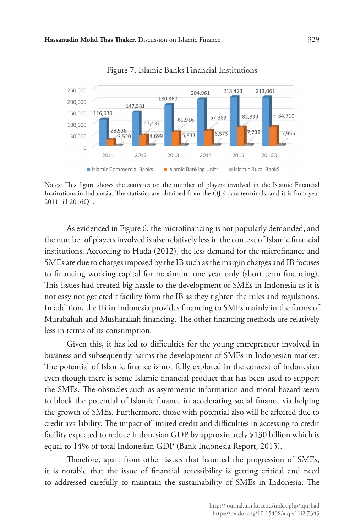

Figure 7. Islamic Banks Financial Institutions

Notes: This figure shows the statistics on the number of players involved in the Islamic Financial Institutions in Indonesia. The statistics are obtained from the OJK data terminals, and it is from year 2011 till 2016Q1.

As evidenced in Figure 6, the microfinancing is not popularly demanded, and the number of players involved is also relatively less in the context of Islamic financial institutions. According to Huda (2012), the less demand for the microfinance and SMEs are due to charges imposed by the IB such as the margin charges and IB focuses to financing working capital for maximum one year only (short term financing). This issues had created big hassle to the development of SMEs in Indonesia as it is not easy not get credit facility form the IB as they tighten the rules and regulations. In addition, the IB in Indonesia provides financing to SMEs mainly in the forms of Murabahah and Musharakah financing. The other financing methods are relatively less in terms of its consumption.

Given this, it has led to difficulties for the young entrepreneur involved in business and subsequently harms the development of SMEs in Indonesian market. The potential of Islamic finance is not fully explored in the context of Indonesian even though there is some Islamic financial product that has been used to support the SMEs. The obstacles such as asymmetric information and moral hazard seem to block the potential of Islamic finance in accelerating social finance via helping the growth of SMEs. Furthermore, those with potential also will be affected due to credit availability. The impact of limited credit and difficulties in accessing to credit facility expected to reduce Indonesian GDP by approximately \$130 billion which is equal to 14% of total Indonesian GDP (Bank Indonesia Report, 2015).

Therefore, apart from other issues that haunted the progression of SMEs, it is notable that the issue of financial accessibility is getting critical and need to addressed carefully to maintain the sustainability of SMEs in Indonesia. The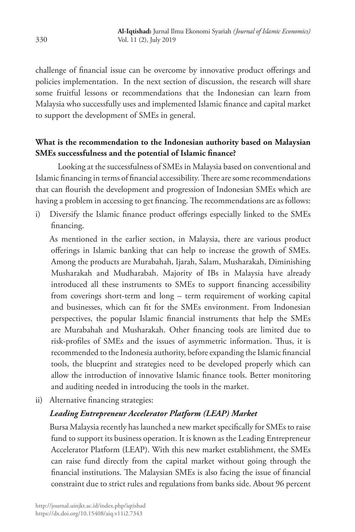challenge of financial issue can be overcome by innovative product offerings and policies implementation. In the next section of discussion, the research will share some fruitful lessons or recommendations that the Indonesian can learn from Malaysia who successfully uses and implemented Islamic finance and capital market to support the development of SMEs in general.

# **What is the recommendation to the Indonesian authority based on Malaysian SMEs successfulness and the potential of Islamic finance?**

Looking at the successfulness of SMEs in Malaysia based on conventional and Islamic financing in terms of financial accessibility. There are some recommendations that can flourish the development and progression of Indonesian SMEs which are having a problem in accessing to get financing. The recommendations are as follows:

i) Diversify the Islamic finance product offerings especially linked to the SMEs financing.

As mentioned in the earlier section, in Malaysia, there are various product offerings in Islamic banking that can help to increase the growth of SMEs. Among the products are Murabahah, Ijarah, Salam, Musharakah, Diminishing Musharakah and Mudharabah. Majority of IBs in Malaysia have already introduced all these instruments to SMEs to support financing accessibility from coverings short-term and long – term requirement of working capital and businesses, which can fit for the SMEs environment. From Indonesian perspectives, the popular Islamic financial instruments that help the SMEs are Murabahah and Musharakah. Other financing tools are limited due to risk-profiles of SMEs and the issues of asymmetric information. Thus, it is recommended to the Indonesia authority, before expanding the Islamic financial tools, the blueprint and strategies need to be developed properly which can allow the introduction of innovative Islamic finance tools. Better monitoring and auditing needed in introducing the tools in the market.

ii) Alternative financing strategies:

# *Leading Entrepreneur Accelerator Platform (LEAP) Market*

Bursa Malaysia recently has launched a new market specifically for SMEs to raise fund to support its business operation. It is known as the Leading Entrepreneur Accelerator Platform (LEAP). With this new market establishment, the SMEs can raise fund directly from the capital market without going through the financial institutions. The Malaysian SMEs is also facing the issue of financial constraint due to strict rules and regulations from banks side. About 96 percent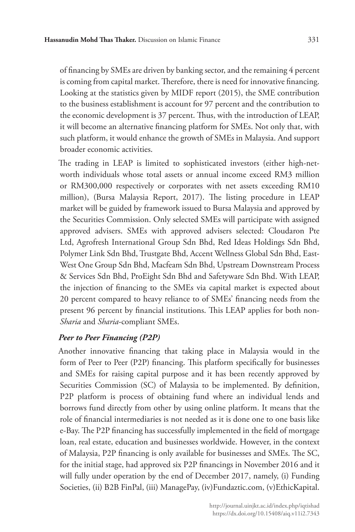of financing by SMEs are driven by banking sector, and the remaining 4 percent is coming from capital market. Therefore, there is need for innovative financing. Looking at the statistics given by MIDF report (2015), the SME contribution to the business establishment is account for 97 percent and the contribution to the economic development is 37 percent. Thus, with the introduction of LEAP, it will become an alternative financing platform for SMEs. Not only that, with such platform, it would enhance the growth of SMEs in Malaysia. And support broader economic activities.

The trading in LEAP is limited to sophisticated investors (either high-networth individuals whose total assets or annual income exceed RM3 million or RM300,000 respectively or corporates with net assets exceeding RM10 million), (Bursa Malaysia Report, 2017). The listing procedure in LEAP market will be guided by framework issued to Bursa Malaysia and approved by the Securities Commission. Only selected SMEs will participate with assigned approved advisers. SMEs with approved advisers selected: Cloudaron Pte Ltd, Agrofresh International Group Sdn Bhd, Red Ideas Holdings Sdn Bhd, Polymer Link Sdn Bhd, Trustgate Bhd, Accent Wellness Global Sdn Bhd, East-West One Group Sdn Bhd, Macfeam Sdn Bhd, Upstream Downstream Process & Services Sdn Bhd, ProEight Sdn Bhd and Safetyware Sdn Bhd. With LEAP, the injection of financing to the SMEs via capital market is expected about 20 percent compared to heavy reliance to of SMEs' financing needs from the present 96 percent by financial institutions. This LEAP applies for both non-*Sharia* and *Sharia*-compliant SMEs.

### *Peer to Peer Financing (P2P)*

Another innovative financing that taking place in Malaysia would in the form of Peer to Peer (P2P) financing. This platform specifically for businesses and SMEs for raising capital purpose and it has been recently approved by Securities Commission (SC) of Malaysia to be implemented. By definition, P2P platform is process of obtaining fund where an individual lends and borrows fund directly from other by using online platform. It means that the role of financial intermediaries is not needed as it is done one to one basis like e-Bay. The P2P financing has successfully implemented in the field of mortgage loan, real estate, education and businesses worldwide. However, in the context of Malaysia, P2P financing is only available for businesses and SMEs. The SC, for the initial stage, had approved six P2P financings in November 2016 and it will fully under operation by the end of December 2017, namely, (i) Funding Societies, (ii) B2B FinPal, (iii) ManagePay, (iv)Fundaztic.com, (v)EthicKapital.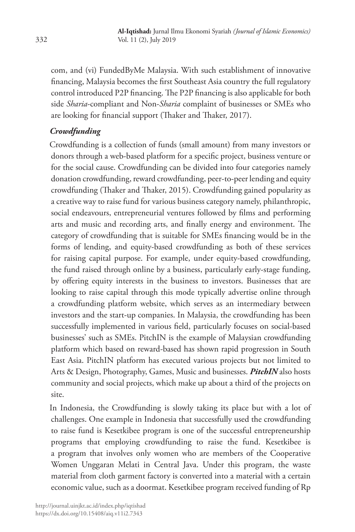com, and (vi) FundedByMe Malaysia. With such establishment of innovative financing, Malaysia becomes the first Southeast Asia country the full regulatory control introduced P2P financing. The P2P financing is also applicable for both side *Sharia*-compliant and Non-*Sharia* complaint of businesses or SMEs who are looking for financial support (Thaker and Thaker, 2017).

# *Crowdfunding*

 Crowdfunding is a collection of funds (small amount) from many investors or donors through a web-based platform for a specific project, business venture or for the social cause. Crowdfunding can be divided into four categories namely donation crowdfunding, reward crowdfunding, peer-to-peer lending and equity crowdfunding (Thaker and Thaker, 2015). Crowdfunding gained popularity as a creative way to raise fund for various business category namely, philanthropic, social endeavours, entrepreneurial ventures followed by films and performing arts and music and recording arts, and finally energy and environment. The category of crowdfunding that is suitable for SMEs financing would be in the forms of lending, and equity-based crowdfunding as both of these services for raising capital purpose. For example, under equity-based crowdfunding, the fund raised through online by a business, particularly early-stage funding, by offering equity interests in the business to investors. Businesses that are looking to raise capital through this mode typically advertise online through a crowdfunding platform website, which serves as an intermediary between investors and the start-up companies. In Malaysia, the crowdfunding has been successfully implemented in various field, particularly focuses on social-based businesses' such as SMEs. PitchIN is the example of Malaysian crowdfunding platform which based on reward-based has shown rapid progression in South East Asia. PitchIN platform has executed various projects but not limited to Arts & Design, Photography, Games, Music and businesses. *PitchIN* also hosts community and social projects, which make up about a third of the projects on site.

In Indonesia, the Crowdfunding is slowly taking its place but with a lot of challenges. One example in Indonesia that successfully used the crowdfunding to raise fund is Kesetkibee program is one of the successful entrepreneurship programs that employing crowdfunding to raise the fund. Kesetkibee is a program that involves only women who are members of the Cooperative Women Unggaran Melati in Central Java. Under this program, the waste material from cloth garment factory is converted into a material with a certain economic value, such as a doormat. Kesetkibee program received funding of Rp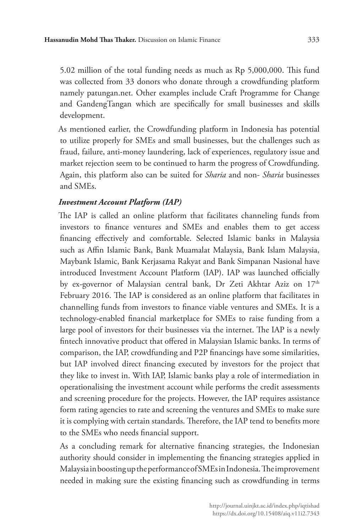5.02 million of the total funding needs as much as Rp 5,000,000. This fund was collected from 33 donors who donate through a crowdfunding platform namely patungan.net. Other examples include Craft Programme for Change and GandengTangan which are specifically for small businesses and skills development.

As mentioned earlier, the Crowdfunding platform in Indonesia has potential to utilize properly for SMEs and small businesses, but the challenges such as fraud, failure, anti-money laundering, lack of experiences, regulatory issue and market rejection seem to be continued to harm the progress of Crowdfunding. Again, this platform also can be suited for *Sharia* and non- *Sharia* businesses and SMEs.

### *Investment Account Platform (IAP)*

The IAP is called an online platform that facilitates channeling funds from investors to finance ventures and SMEs and enables them to get access financing effectively and comfortable. Selected Islamic banks in Malaysia such as Affin Islamic Bank, Bank Muamalat Malaysia, Bank Islam Malaysia, Maybank Islamic, Bank Kerjasama Rakyat and Bank Simpanan Nasional have introduced Investment Account Platform (IAP). IAP was launched officially by ex-governor of Malaysian central bank, Dr Zeti Akhtar Aziz on 17th February 2016. The IAP is considered as an online platform that facilitates in channelling funds from investors to finance viable ventures and SMEs. It is a technology-enabled financial marketplace for SMEs to raise funding from a large pool of investors for their businesses via the internet. The IAP is a newly fintech innovative product that offered in Malaysian Islamic banks. In terms of comparison, the IAP, crowdfunding and P2P financings have some similarities, but IAP involved direct financing executed by investors for the project that they like to invest in. With IAP, Islamic banks play a role of intermediation in operationalising the investment account while performs the credit assessments and screening procedure for the projects. However, the IAP requires assistance form rating agencies to rate and screening the ventures and SMEs to make sure it is complying with certain standards. Therefore, the IAP tend to benefits more to the SMEs who needs financial support.

As a concluding remark for alternative financing strategies, the Indonesian authority should consider in implementing the financing strategies applied in Malaysia in boosting up the performance of SMEs in Indonesia. The improvement needed in making sure the existing financing such as crowdfunding in terms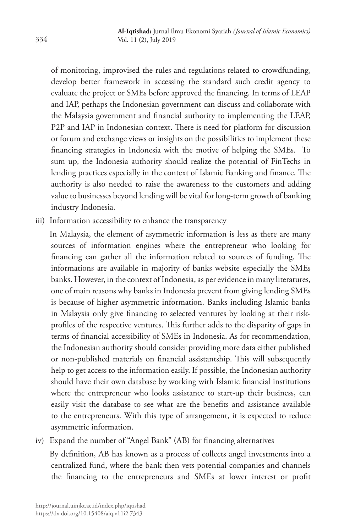of monitoring, improvised the rules and regulations related to crowdfunding, develop better framework in accessing the standard such credit agency to evaluate the project or SMEs before approved the financing. In terms of LEAP and IAP, perhaps the Indonesian government can discuss and collaborate with the Malaysia government and financial authority to implementing the LEAP, P2P and IAP in Indonesian context. There is need for platform for discussion or forum and exchange views or insights on the possibilities to implement these financing strategies in Indonesia with the motive of helping the SMEs. To sum up, the Indonesia authority should realize the potential of FinTechs in lending practices especially in the context of Islamic Banking and finance. The authority is also needed to raise the awareness to the customers and adding value to businesses beyond lending will be vital for long-term growth of banking industry Indonesia.

iii) Information accessibility to enhance the transparency

In Malaysia, the element of asymmetric information is less as there are many sources of information engines where the entrepreneur who looking for financing can gather all the information related to sources of funding. The informations are available in majority of banks website especially the SMEs banks. However, in the context of Indonesia, as per evidence in many literatures, one of main reasons why banks in Indonesia prevent from giving lending SMEs is because of higher asymmetric information. Banks including Islamic banks in Malaysia only give financing to selected ventures by looking at their riskprofiles of the respective ventures. This further adds to the disparity of gaps in terms of financial accessibility of SMEs in Indonesia. As for recommendation, the Indonesian authority should consider providing more data either published or non-published materials on financial assistantship. This will subsequently help to get access to the information easily. If possible, the Indonesian authority should have their own database by working with Islamic financial institutions where the entrepreneur who looks assistance to start-up their business, can easily visit the database to see what are the benefits and assistance available to the entrepreneurs. With this type of arrangement, it is expected to reduce asymmetric information.

iv) Expand the number of "Angel Bank" (AB) for financing alternatives

By definition, AB has known as a process of collects angel investments into a centralized fund, where the bank then vets potential companies and channels the financing to the entrepreneurs and SMEs at lower interest or profit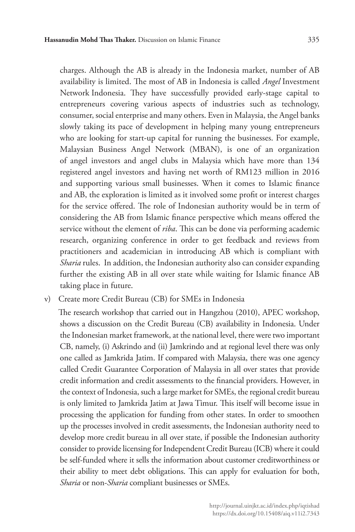charges. Although the AB is already in the Indonesia market, number of AB availability is limited. The most of AB in Indonesia is called *Angel* Investment Network Indonesia. They have successfully provided early-stage capital to entrepreneurs covering various aspects of industries such as technology, consumer, social enterprise and many others. Even in Malaysia, the Angel banks slowly taking its pace of development in helping many young entrepreneurs who are looking for start-up capital for running the businesses. For example, Malaysian Business Angel Network (MBAN), is one of an organization of angel investors and angel clubs in Malaysia which have more than 134 registered angel investors and having net worth of RM123 million in 2016 and supporting various small businesses. When it comes to Islamic finance and AB, the exploration is limited as it involved some profit or interest charges for the service offered. The role of Indonesian authority would be in term of considering the AB from Islamic finance perspective which means offered the service without the element of *riba*. This can be done via performing academic research, organizing conference in order to get feedback and reviews from practitioners and academician in introducing AB which is compliant with *Sharia* rules. In addition, the Indonesian authority also can consider expanding further the existing AB in all over state while waiting for Islamic finance AB taking place in future.

v) Create more Credit Bureau (CB) for SMEs in Indonesia

The research workshop that carried out in Hangzhou (2010), APEC workshop, shows a discussion on the Credit Bureau (CB) availability in Indonesia. Under the Indonesian market framework, at the national level, there were two important CB, namely, (i) Askrindo and (ii) Jamkrindo and at regional level there was only one called as Jamkrida Jatim. If compared with Malaysia, there was one agency called Credit Guarantee Corporation of Malaysia in all over states that provide credit information and credit assessments to the financial providers. However, in the context of Indonesia, such a large market for SMEs, the regional credit bureau is only limited to Jamkrida Jatim at Jawa Timur. This itself will become issue in processing the application for funding from other states. In order to smoothen up the processes involved in credit assessments, the Indonesian authority need to develop more credit bureau in all over state, if possible the Indonesian authority consider to provide licensing for Independent Credit Bureau (ICB) where it could be self-funded where it sells the information about customer creditworthiness or their ability to meet debt obligations. This can apply for evaluation for both, *Sharia* or non-*Sharia* compliant businesses or SMEs.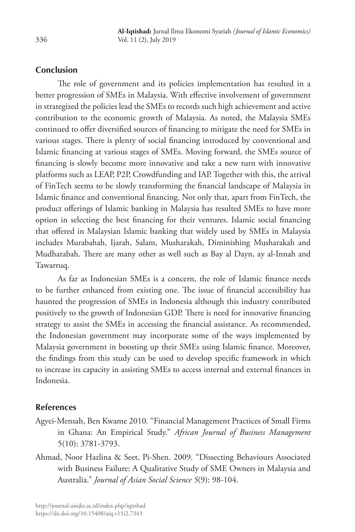### **Conclusion**

The role of government and its policies implementation has resulted in a better progression of SMEs in Malaysia. With effective involvement of government in strategized the policies lead the SMEs to records such high achievement and active contribution to the economic growth of Malaysia. As noted, the Malaysia SMEs continued to offer diversified sources of financing to mitigate the need for SMEs in various stages. There is plenty of social financing introduced by conventional and Islamic financing at various stages of SMEs. Moving forward, the SMEs source of financing is slowly become more innovative and take a new turn with innovative platforms such as LEAP, P2P, Crowdfunding and IAP. Together with this, the arrival of FinTech seems to be slowly transforming the financial landscape of Malaysia in Islamic finance and conventional financing. Not only that, apart from FinTech, the product offerings of Islamic banking in Malaysia has resulted SMEs to have more option in selecting the best financing for their ventures. Islamic social financing that offered in Malaysian Islamic banking that widely used by SMEs in Malaysia includes Murabahah, Ijarah, Salam, Musharakah, Diminishing Musharakah and Mudharabah. There are many other as well such as Bay al Dayn, ay al-Innah and Tawarruq.

As far as Indonesian SMEs is a concern, the role of Islamic finance needs to be further enhanced from existing one. The issue of financial accessibility has haunted the progression of SMEs in Indonesia although this industry contributed positively to the growth of Indonesian GDP. There is need for innovative financing strategy to assist the SMEs in accessing the financial assistance. As recommended, the Indonesian government may incorporate some of the ways implemented by Malaysia government in boosting up their SMEs using Islamic finance. Moreover, the findings from this study can be used to develop specific framework in which to increase its capacity in assisting SMEs to access internal and external finances in Indonesia.

### **References**

- Agyei-Mensah, Ben Kwame 2010*.* "Financial Management Practices of Small Firms in Ghana: An Empirical Study." *African Journal of Business Management* 5(10): 3781-3793.
- Ahmad, Noor Hazlina & Seet, Pi-Shen. 2009. "Dissecting Behaviours Associated with Business Failure: A Qualitative Study of SME Owners in Malaysia and Australia." *Journal of Asian Social Science 5*(9): 98-104.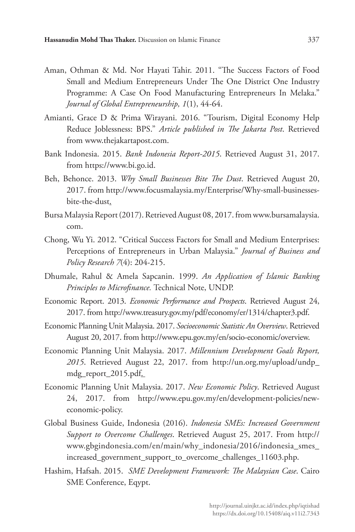- Aman, Othman & Md. Nor Hayati Tahir. 2011. "The Success Factors of Food Small and Medium Entrepreneurs Under The One District One Industry Programme: A Case On Food Manufacturing Entrepreneurs In Melaka." *Journal of Global Entrepreneurship, 1*(1), 44-64.
- Amianti, Grace D & Prima Wirayani. 2016. "Tourism, Digital Economy Help Reduce Joblessness: BPS." *Article published in The Jakarta Post*. Retrieved from www.thejakartapost.com.
- Bank Indonesia. 2015. *Bank Indonesia Report-2015*. Retrieved August 31, 2017. from https://www.bi.go.id.
- Beh, Behonce. 2013. *Why Small Businesses Bite The Dust*. Retrieved August 20, 2017. from http://www.focusmalaysia.my/Enterprise/Why-small-businessesbite-the-dust.
- Bursa Malaysia Report (2017). Retrieved August 08, 2017. from www.bursamalaysia. com.
- Chong, Wu Yi. 2012. "Critical Success Factors for Small and Medium Enterprises: Perceptions of Entrepreneurs in Urban Malaysia." *Journal of Business and Policy Research 7*(4): 204-215.
- Dhumale, Rahul & Amela Sapcanin. 1999. *An Application of Islamic Banking Principles to Microfinance.* Technical Note, UNDP.
- Economic Report. 2013. *Economic Performance and Prospects*. Retrieved August 24, 2017. from http://www.treasury.gov.my/pdf/economy/er/1314/chapter3.pdf.
- Economic Planning Unit Malaysia. 2017. *Socioeconomic Statistic An Overview*. Retrieved August 20, 2017. from http://www.epu.gov.my/en/socio-economic/overview.
- Economic Planning Unit Malaysia. 2017. *Millennium Development Goals Report, 2015*. Retrieved August 22, 2017. from http://un.org.my/upload/undp\_ mdg\_report\_2015.pdf.
- Economic Planning Unit Malaysia. 2017. *New Economic Policy*. Retrieved August 24, 2017. from http://www.epu.gov.my/en/development-policies/neweconomic-policy.
- Global Business Guide, Indonesia (2016). *Indonesia SMEs: Increased Government Support to Overcome Challenges*. Retrieved August 25, 2017. From http:// www.gbgindonesia.com/en/main/why\_indonesia/2016/indonesia\_smes\_ increased\_government\_support\_to\_overcome\_challenges\_11603.php.
- Hashim, Hafsah. 2015. *SME Development Framework: The Malaysian Case*. Cairo SME Conference, Eqypt.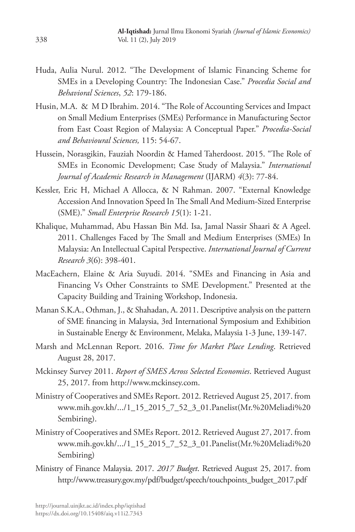- Huda, Aulia Nurul. 2012. "The Development of Islamic Financing Scheme for SMEs in a Developing Country: The Indonesian Case." *Procedia Social and Behavioral Sciences*, *52*: 179-186.
- Husin, M.A. & M D Ibrahim. 2014. "The Role of Accounting Services and Impact on Small Medium Enterprises (SMEs) Performance in Manufacturing Sector from East Coast Region of Malaysia: A Conceptual Paper." *Procedia-Social and Behavioural Sciences,* 115: 54-67.
- Hussein, Norasgikin, Fauziah Noordin & Hamed Taherdoost. 2015. "The Role of SMEs in Economic Development; Case Study of Malaysia." *International Journal of Academic Research in Management* (IJARM) *4*(3): 77-84.
- Kessler, Eric H, Michael A Allocca, & N Rahman. 2007. "External Knowledge Accession And Innovation Speed In The Small And Medium-Sized Enterprise (SME)." *Small Enterprise Research 15*(1): 1-21.
- Khalique, Muhammad, Abu Hassan Bin Md. Isa, Jamal Nassir Shaari & A Ageel. 2011. Challenges Faced by The Small and Medium Enterprises (SMEs) In Malaysia: An Intellectual Capital Perspective. *International Journal of Current Research 3*(6): 398-401.
- MacEachern, Elaine & Aria Suyudi. 2014. "SMEs and Financing in Asia and Financing Vs Other Constraints to SME Development." Presented at the Capacity Building and Training Workshop, Indonesia.
- Manan S.K.A., Othman, J., & Shahadan, A. 2011. Descriptive analysis on the pattern of SME financing in Malaysia, 3rd International Symposium and Exhibition in Sustainable Energy & Environment, Melaka, Malaysia 1-3 June, 139-147.
- Marsh and McLennan Report. 2016. *Time for Market Place Lending*. Retrieved August 28, 2017.
- Mckinsey Survey 2011. *Report of SMES Across Selected Economies*. Retrieved August 25, 2017. from http://www.mckinsey.com.
- Ministry of Cooperatives and SMEs Report. 2012. Retrieved August 25, 2017. from www.mih.gov.kh/.../1\_15\_2015\_7\_52\_3\_01.Panelist(Mr.%20Meliadi%20 Sembiring).
- Ministry of Cooperatives and SMEs Report. 2012. Retrieved August 27, 2017. from www.mih.gov.kh/.../1\_15\_2015\_7\_52\_3\_01.Panelist(Mr.%20Meliadi%20 Sembiring)
- Ministry of Finance Malaysia. 2017. *2017 Budget*. Retrieved August 25, 2017. from http://www.treasury.gov.my/pdf/budget/speech/touchpoints\_budget\_2017.pdf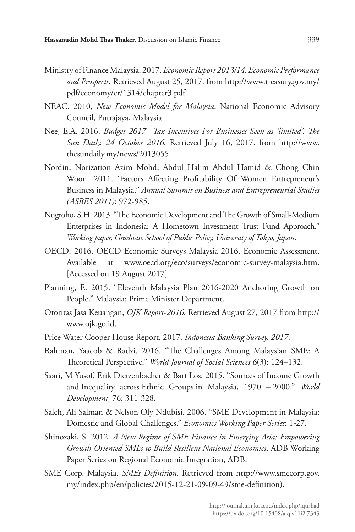- Ministry of Finance Malaysia. 2017. *Economic Report 2013/14. Economic Performance and Prospects*. Retrieved August 25, 2017. from http://www.treasury.gov.my/ pdf/economy/er/1314/chapter3.pdf.
- NEAC. 2010, *New Economic Model for Malaysia*, National Economic Advisory Council, Putrajaya, Malaysia.
- Nee, E.A. 2016. *Budget 2017– Tax Incentives For Businesses Seen as 'limited'. The Sun Daily. 24 October 2016.* Retrieved July 16, 2017. from http://www. thesundaily.my/news/2013055.
- Nordin, Norization Azim Mohd, Abdul Halim Abdul Hamid & Chong Chin Woon. 2011. 'Factors Affecting Profitability Of Women Entrepreneur's Business in Malaysia." *Annual Summit on Business and Entrepreneurial Studies (ASBES 2011)*: 972-985.
- Nugroho, S.H. 2013. "The Economic Development and The Growth of Small-Medium Enterprises in Indonesia: A Hometown Investment Trust Fund Approach." *Working paper, Graduate School of Public Policy, University of Tokyo, Japan*.
- OECD. 2016. OECD Economic Surveys Malaysia 2016. Economic Assessment. Available at www.oecd.org/eco/surveys/economic-survey-malaysia.htm. [Accessed on 19 August 2017]
- Planning, E. 2015. "Eleventh Malaysia Plan 2016-2020 Anchoring Growth on People." Malaysia: Prime Minister Department.
- Otoritas Jasa Keuangan, *OJK Report-2016*. Retrieved August 27, 2017 from http:// www.ojk.go.id.
- Price Water Cooper House Report. 2017. *Indonesia Banking Survey, 2017*.
- Rahman, Yaacob & Radzi. 2016. "The Challenges Among Malaysian SME: A Theoretical Perspective." *World Journal of Social Sciences 6*(3): 124–132.
- Saari, M Yusof, Erik Dietzenbacher & Bart Los. 2015. "Sources of Income Growth and Inequality across Ethnic Groups in Malaysia, 1970 – 2000." *World Development,* 76: 311-328.
- Saleh, Ali Salman & Nelson Oly Ndubisi. 2006. "SME Development in Malaysia: Domestic and Global Challenges." *Economics Working Paper Series*: 1-27.
- Shinozaki, S. 2012. *A New Regime of SME Finance in Emerging Asia: Empowering Growth-Oriented SMEs to Build Resilient National Economics*. ADB Working Paper Series on Regional Economic Integration, ADB.
- SME Corp. Malaysia. *SMEs Definition*. Retrieved from http://www.smecorp.gov. my/index.php/en/policies/2015-12-21-09-09-49/sme-definition).